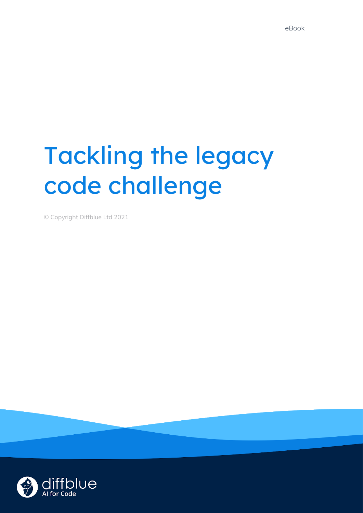# Tackling the legacy code challenge

**Find out more at [diffblue.com](https://www.diffblue.com/) 1**

© Copyright Diffblue Ltd 2021

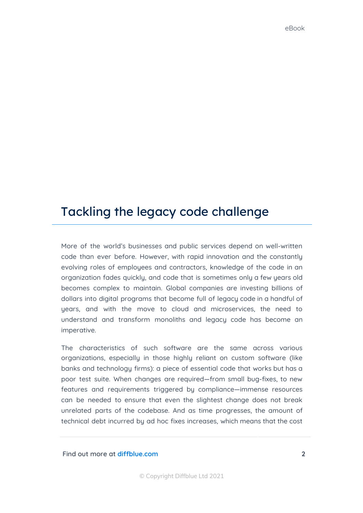# Tackling the legacy code challenge

More of the world's businesses and public services depend on well-written code than ever before. However, with rapid innovation and the constantly evolving roles of employees and contractors, knowledge of the code in an organization fades quickly, and code that is sometimes only a few years old becomes complex to maintain. Global companies are investing billions of dollars into digital programs that become full of legacy code in a handful of years, and with the move to cloud and microservices, the need to understand and transform monoliths and legacy code has become an imperative.

The characteristics of such software are the same across various organizations, especially in those highly reliant on custom software (like banks and technology firms): a piece of essential code that works but has a poor test suite. When changes are required—from small bug-fixes, to new features and requirements triggered by compliance—immense resources can be needed to ensure that even the slightest change does not break unrelated parts of the codebase. And as time progresses, the amount of technical debt incurred by ad hoc fixes increases, which means that the cost

**Find out more at [diffblue.com](https://www.diffblue.com/) 2**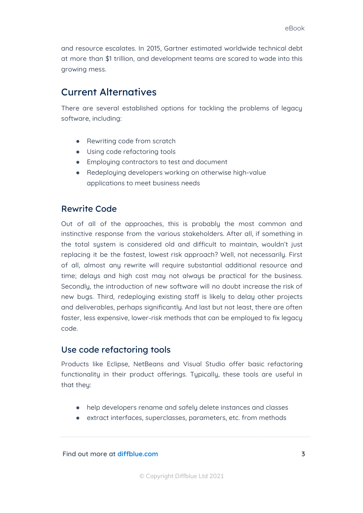and resource escalates. In 2015, Gartner estimated worldwide technical debt at more than \$1 trillion, and development teams are scared to wade into this growing mess.

## Current Alternatives

There are several established options for tackling the problems of legacy software, including:

- Rewriting code from scratch
- Using code refactoring tools
- Employing contractors to test and document
- Redeploying developers working on otherwise high-value applications to meet business needs

#### Rewrite Code

Out of all of the approaches, this is probably the most common and instinctive response from the various stakeholders. After all, if something in the total system is considered old and difficult to maintain, wouldn't just replacing it be the fastest, lowest risk approach? Well, not necessarily. First of all, almost any rewrite will require substantial additional resource and time; delays and high cost may not always be practical for the business. Secondly, the introduction of new software will no doubt increase the risk of new bugs. Third, redeploying existing staff is likely to delay other projects and deliverables, perhaps significantly. And last but not least, there are often faster, less expensive, lower-risk methods that can be employed to fix legacy code.

#### Use code refactoring tools

Products like Eclipse, NetBeans and Visual Studio offer basic refactoring functionality in their product offerings. Typically, these tools are useful in that they:

- help developers rename and safely delete instances and classes
- extract interfaces, superclasses, parameters, etc. from methods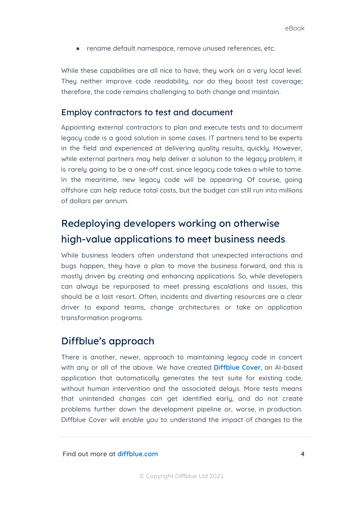● rename default namespace, remove unused references, etc.

While these capabilities are all nice to have, they work on a very local level. They neither improve code readability, nor do they boost test coverage; therefore, the code remains challenging to both change and maintain.

#### Employ contractors to test and document

Appointing external contractors to plan and execute tests and to document legacy code is a good solution in some cases. IT partners tend to be experts in the field and experienced at delivering quality results, quickly. However, while external partners may help deliver a solution to the legacy problem, it is rarely going to be a one-off cost, since legacy code takes a while to tame. In the meantime, new legacy code will be appearing. Of course, going offshore can help reduce total costs, but the budget can still run into millions of dollars per annum.

## Redeploying developers working on otherwise high-value applications to meet business needs

While business leaders often understand that unexpected interactions and bugs happen, they have a plan to move the business forward, and this is mostly driven by creating and enhancing applications. So, while developers can always be repurposed to meet pressing escalations and issues, this should be a last resort. Often, incidents and diverting resources are a clear driver to expand teams, change architectures or take on application transformation programs.

### Diffblue's approach

There is another, newer, approach to maintaining legacy code in concert with any or all of the above. We have created **[Diffblue](https://www.diffblue.com/products/) Cover**, an AI-based application that automatically generates the test suite for existing code, without human intervention and the associated delays. More tests means that unintended changes can get identified early, and do not create problems further down the development pipeline or, worse, in production. Diffblue Cover will enable you to understand the impact of changes to the